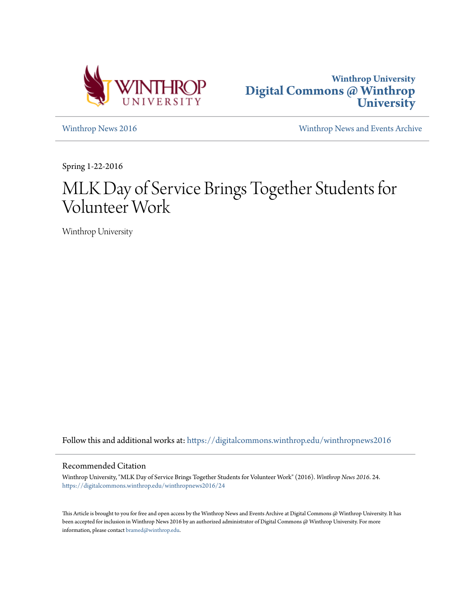



[Winthrop News 2016](https://digitalcommons.winthrop.edu/winthropnews2016?utm_source=digitalcommons.winthrop.edu%2Fwinthropnews2016%2F24&utm_medium=PDF&utm_campaign=PDFCoverPages) [Winthrop News and Events Archive](https://digitalcommons.winthrop.edu/winthropnewsarchives?utm_source=digitalcommons.winthrop.edu%2Fwinthropnews2016%2F24&utm_medium=PDF&utm_campaign=PDFCoverPages)

Spring 1-22-2016

# MLK Day of Service Brings Together Students for Volunteer Work

Winthrop University

Follow this and additional works at: [https://digitalcommons.winthrop.edu/winthropnews2016](https://digitalcommons.winthrop.edu/winthropnews2016?utm_source=digitalcommons.winthrop.edu%2Fwinthropnews2016%2F24&utm_medium=PDF&utm_campaign=PDFCoverPages)

## Recommended Citation

Winthrop University, "MLK Day of Service Brings Together Students for Volunteer Work" (2016). *Winthrop News 2016*. 24. [https://digitalcommons.winthrop.edu/winthropnews2016/24](https://digitalcommons.winthrop.edu/winthropnews2016/24?utm_source=digitalcommons.winthrop.edu%2Fwinthropnews2016%2F24&utm_medium=PDF&utm_campaign=PDFCoverPages)

This Article is brought to you for free and open access by the Winthrop News and Events Archive at Digital Commons @ Winthrop University. It has been accepted for inclusion in Winthrop News 2016 by an authorized administrator of Digital Commons @ Winthrop University. For more information, please contact [bramed@winthrop.edu](mailto:bramed@winthrop.edu).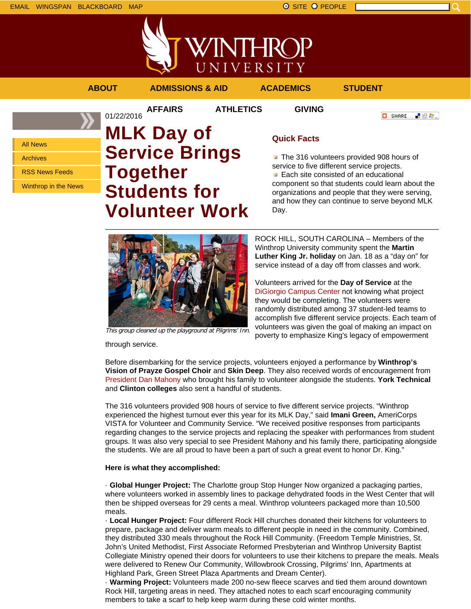

「验費」

**O** SHARE



**AFFAIRS ATHLETICS GIVING**



All News

Archives

RSS News Feeds

Winthrop in the News

## 01/22/2016 **MLK Day of Service Brings Together Students for Volunteer Work**

## **Quick Facts**

The 316 volunteers provided 908 hours of service to five different service projects. **Each site consisted of an educational** component so that students could learn about the organizations and people that they were serving, and how they can continue to serve beyond MLK Day.



This group cleaned up the playground at Pilgrims' Inn.

through service.

ROCK HILL, SOUTH CAROLINA – Members of the Winthrop University community spent the **Martin Luther King Jr. holiday** on Jan. 18 as a "day on" for service instead of a day off from classes and work.

Volunteers arrived for the **Day of Service** at the DiGiorgio Campus Center not knowing what project they would be completing. The volunteers were randomly distributed among 37 student-led teams to accomplish five different service projects. Each team of volunteers was given the goal of making an impact on poverty to emphasize King's legacy of empowerment

Before disembarking for the service projects, volunteers enjoyed a performance by **Winthrop's Vision of Prayze Gospel Choir** and **Skin Deep**. They also received words of encouragement from President Dan Mahony who brought his family to volunteer alongside the students. **York Technical** and **Clinton colleges** also sent a handful of students.

The 316 volunteers provided 908 hours of service to five different service projects. "Winthrop experienced the highest turnout ever this year for its MLK Day," said **Imani Green,** AmeriCorps VISTA for Volunteer and Community Service. "We received positive responses from participants regarding changes to the service projects and replacing the speaker with performances from student groups. It was also very special to see President Mahony and his family there, participating alongside the students. We are all proud to have been a part of such a great event to honor Dr. King."

### **Here is what they accomplished:**

· **Global Hunger Project:** The Charlotte group Stop Hunger Now organized a packaging parties, where volunteers worked in assembly lines to package dehydrated foods in the West Center that will then be shipped overseas for 29 cents a meal. Winthrop volunteers packaged more than 10,500 meals.

· **Local Hunger Project:** Four different Rock Hill churches donated their kitchens for volunteers to prepare, package and deliver warm meals to different people in need in the community. Combined, they distributed 330 meals throughout the Rock Hill Community. (Freedom Temple Ministries, St. John's United Methodist, First Associate Reformed Presbyterian and Winthrop University Baptist Collegiate Ministry opened their doors for volunteers to use their kitchens to prepare the meals. Meals were delivered to Renew Our Community, Willowbrook Crossing, Pilgrims' Inn, Apartments at Highland Park, Green Street Plaza Apartments and Dream Center).

· **Warming Project:** Volunteers made 200 no-sew fleece scarves and tied them around downtown Rock Hill, targeting areas in need. They attached notes to each scarf encouraging community members to take a scarf to help keep warm during these cold winter months.